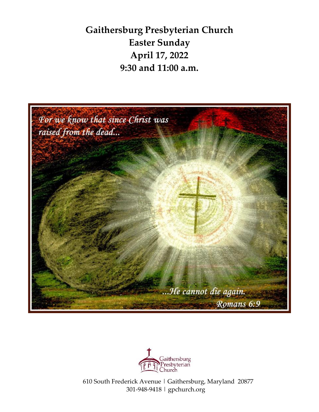**Gaithersburg Presbyterian Church Easter Sunday April 17, 2022 9:30 and 11:00 a.m.**



![](_page_0_Picture_2.jpeg)

 610 South Frederick Avenue | Gaithersburg, Maryland 20877 301-948-9418 | gpchurch.org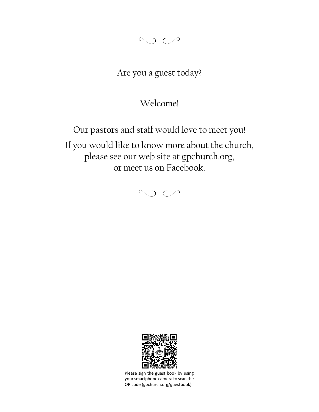$Q \cap C$ 

# Are you a guest today?

## Welcome!

Our pastors and staff would love to meet you! If you would like to know more about the church, please see our web site at gpchurch.org, or meet us on Facebook.

 $\circ$ 

![](_page_1_Picture_5.jpeg)

Please sign the guest book by using your smartphone camera to scan the QR code (gpchurch.org/guestbook)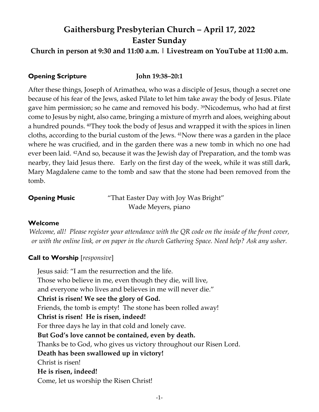# **Gaithersburg Presbyterian Church – April 17, 2022 Easter Sunday**

**Church in person at 9:30 and 11:00 a.m. | Livestream on YouTube at 11:00 a.m.**

## **Opening Scripture John 19:38–20:1**

After these things, Joseph of Arimathea, who was a disciple of Jesus, though a secret one because of his fear of the Jews, asked Pilate to let him take away the body of Jesus. Pilate gave him permission; so he came and removed his body. 39Nicodemus, who had at first come to Jesus by night, also came, bringing a mixture of myrrh and aloes, weighing about a hundred pounds. 40They took the body of Jesus and wrapped it with the spices in linen cloths, according to the burial custom of the Jews. 41Now there was a garden in the place where he was crucified, and in the garden there was a new tomb in which no one had ever been laid. 42And so, because it was the Jewish day of Preparation, and the tomb was nearby, they laid Jesus there. Early on the first day of the week, while it was still dark, Mary Magdalene came to the tomb and saw that the stone had been removed from the tomb.

**Opening Music** "That Easter Day with Joy Was Bright" Wade Meyers, piano

### **Welcome**

*Welcome, all! Please register your attendance with the QR code on the inside of the front cover, or with the online link, or on paper in the church Gathering Space. Need help? Ask any usher.*

## **Call to Worship** [*responsive*]

Jesus said: "I am the resurrection and the life. Those who believe in me, even though they die, will live, and everyone who lives and believes in me will never die." **Christ is risen! We see the glory of God.** Friends, the tomb is empty! The stone has been rolled away! **Christ is risen! He is risen, indeed!** For three days he lay in that cold and lonely cave. **But God's love cannot be contained, even by death.**  Thanks be to God, who gives us victory throughout our Risen Lord. **Death has been swallowed up in victory!**  Christ is risen! **He is risen, indeed!** Come, let us worship the Risen Christ!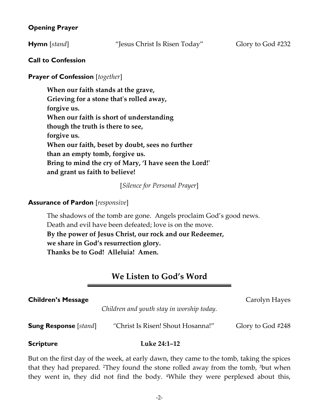## **Opening Prayer**

**Hymn** [*stand*] "Jesus Christ Is Risen Today" Glory to God #232

## **Call to Confession**

## **Prayer of Confession** [*together*]

**When our faith stands at the grave, Grieving for a stone that's rolled away, forgive us. When our faith is short of understanding though the truth is there to see, forgive us. When our faith, beset by doubt, sees no further than an empty tomb, forgive us. Bring to mind the cry of Mary, 'I have seen the Lord!' and grant us faith to believe!**

[*Silence for Personal Prayer*]

## **Assurance of Pardon** [*responsive*]

The shadows of the tomb are gone. Angels proclaim God's good news. Death and evil have been defeated; love is on the move. **By the power of Jesus Christ, our rock and our Redeemer, we share in God's resurrection glory. Thanks be to God! Alleluia! Amen.** 

## **We Listen to God's Word**

### **Children's Message Carolyn Hayes Carolyn Hayes**

*Children and youth stay in worship today.* 

**Sung Response** [*stand*]  $\blacksquare$  <sup>*"*Christ Is Risen! Shout Hosanna!" Glory to God #248</sup>

### **Scripture Luke 24:1–12**

But on the first day of the week, at early dawn, they came to the tomb, taking the spices that they had prepared. 2They found the stone rolled away from the tomb, 3but when they went in, they did not find the body. 4While they were perplexed about this,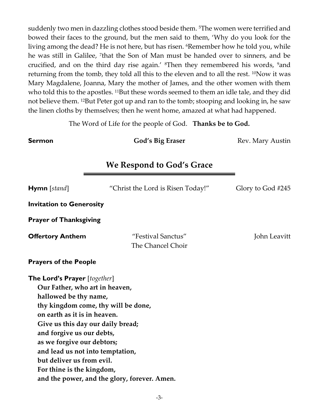suddenly two men in dazzling clothes stood beside them. 5The women were terrified and bowed their faces to the ground, but the men said to them, 'Why do you look for the living among the dead? He is not here, but has risen. <sup>6</sup>Remember how he told you, while he was still in Galilee, <sup>7</sup>that the Son of Man must be handed over to sinners, and be crucified, and on the third day rise again.' 8Then they remembered his words, 9and returning from the tomb, they told all this to the eleven and to all the rest. <sup>10</sup>Now it was Mary Magdalene, Joanna, Mary the mother of James, and the other women with them who told this to the apostles. <sup>11</sup>But these words seemed to them an idle tale, and they did not believe them. 12But Peter got up and ran to the tomb; stooping and looking in, he saw the linen cloths by themselves; then he went home, amazed at what had happened.

The Word of Life for the people of God. **Thanks be to God.**

**Sermon God's Big Eraser Rev. Mary Austin** 

## **We Respond to God's Grace**

| <b>Hymn</b> [stand]                                                                                                                                                                                                                                                                                                                                                 | "Christ the Lord is Risen Today!"            | Glory to God #245 |
|---------------------------------------------------------------------------------------------------------------------------------------------------------------------------------------------------------------------------------------------------------------------------------------------------------------------------------------------------------------------|----------------------------------------------|-------------------|
| <b>Invitation to Generosity</b>                                                                                                                                                                                                                                                                                                                                     |                                              |                   |
| <b>Prayer of Thanksgiving</b>                                                                                                                                                                                                                                                                                                                                       |                                              |                   |
| <b>Offertory Anthem</b>                                                                                                                                                                                                                                                                                                                                             | "Festival Sanctus"<br>The Chancel Choir      | John Leavitt      |
| <b>Prayers of the People</b>                                                                                                                                                                                                                                                                                                                                        |                                              |                   |
| <b>The Lord's Prayer</b> [together]<br>Our Father, who art in heaven,<br>hallowed be thy name,<br>thy kingdom come, thy will be done,<br>on earth as it is in heaven.<br>Give us this day our daily bread;<br>and forgive us our debts,<br>as we forgive our debtors;<br>and lead us not into temptation,<br>but deliver us from evil.<br>For thine is the kingdom, | and the power, and the glory, forever. Amen. |                   |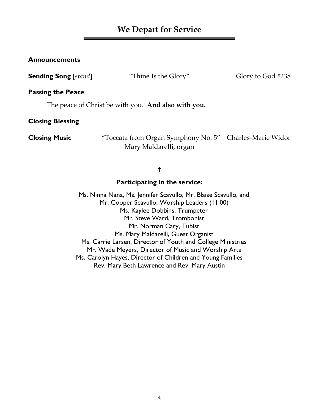## **We Depart for Service**

### **Announcements**

**Sending Song** [*stand*] "Thine Is the Glory" Glory to God #238

### **Passing the Peace**

The peace of Christ be with you. **And also with you.**

**Closing Blessing**

**Closing Music** "Toccata from Organ Symphony No. 5" Charles-Marie Widor Mary Maldarelli, organ

### $\ddagger$

### **Participating in the service:**

Ms. Ninna Nana, Ms. Jennifer Scavullo, Mr. Blaise Scavullo, and Mr. Cooper Scavullo, Worship Leaders (11:00) Ms. Kaylee Dobbins, Trumpeter Mr. Steve Ward, Trombonist Mr. Norman Cary, Tubist Ms. Mary Maldarelli, Guest Organist Ms. Carrie Larsen, Director of Youth and College Ministries Mr. Wade Meyers, Director of Music and Worship Arts Ms. Carolyn Hayes, Director of Children and Young Families Rev. Mary Beth Lawrence and Rev. Mary Austin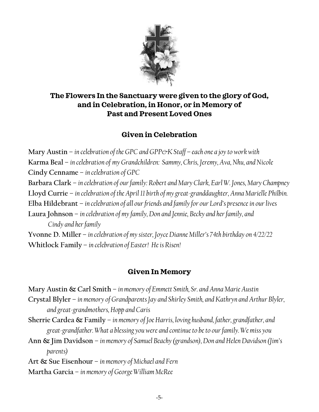![](_page_6_Picture_0.jpeg)

## **The Flowers In the Sanctuary were given to the glory of God, and in Celebration, in Honor, or in Memory of Past and Present Loved Ones**

## **Given in Celebration**

**Mary Austin** – *in celebration of the GPC and GPP* $\&$ *K Staff* – *each one a joy to work with* **Karma Beal** – *in celebration of my Grandchildren: Sammy, Chris, Jeremy, Ava, Nhu, and Nicole* **Cindy Cenname** – *in celebration of GPC* **Barbara Clark** – *in celebration of our family: Robert and Mary Clark, Earl W. Jones, Mary Champney* **Lloyd Currie** – *in celebration of the April 11 birth of my great-granddaughter, Anna Marielle Philbin.* **Elba Hildebrant** – *in celebration of all our friends and family for our Lord's presence in our lives* **Laura Johnson** – *in celebration of my family, Don and Jennie, Becky and her family, and Cindy and her family* **Yvonne D. Miller** – *in celebration of my sister, Joyce Dianne Miller's 74th birthday on 4/22/22* **Whitlock Family** – *in celebration of Easter! He is Risen!*

## **Given In Memory**

**Mary Austin & Carl Smith** – *in memory of Emmett Smith, Sr. and Anna Marie Austin* **Crystal Blyler** – *in memory of Grandparents Jay and Shirley Smith, and Kathryn and Arthur Blyler, and great-grandmothers, Hopp and Caris* **Sherrie Cardea & Family** – *in memory of Joe Harris, loving husband, father, grandfather, and great-grandfather. What a blessing you were and continue to be to ourfamily. We miss you* **Ann & Jim Davidson** – *in memory of Samuel Beachy (grandson), Don and Helen Davidson (Jim's* 

*parents)*

**Art & Sue Eisenhour** – *in memory of Michael and Fern*

**Martha Garcia** – *in memory of George William McRee*